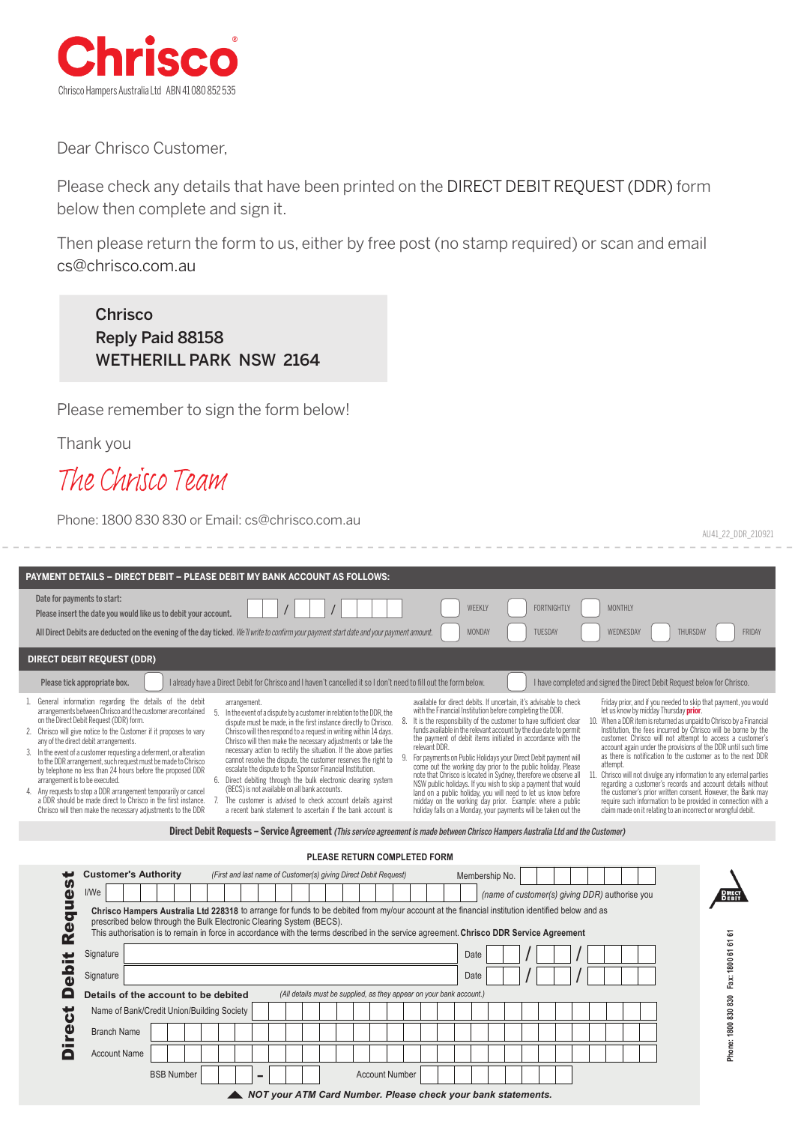

Dear Chrisco Customer,

Please check any details that have been printed on the DIRECT DEBIT REQUEST (DDR) form below then complete and sign it.

Then please return the form to us, either by free post (no stamp required) or scan and email cs@chrisco.com.au

Chrisco Reply Paid 88158 WETHERILL PARK NSW 2164

Please remember to sign the form below!

Thank you

Re

# *The Chrisco Team*

Phone: 1800 830 830 or Email: cs@chrisco.com.au

| AU41_22_DDR_210921                                                                                                                                                                                                                                                                                                                                                                                                                                                                                                                                                                                                                                                                                                                                                                                                                                                                                                                                                                                                                                                                                                                                                                                                                                                                                                                                                                                                                                                                                                                                                                                                                                                                                                                                                                                                                                                                                                                                                                                                                                                                                                                                                                                                                                                                                                                                                                                                                                                                                                                                                                                                                                                                                                                                                                                                                                                                                                                                                                                                                                                                                                 |
|--------------------------------------------------------------------------------------------------------------------------------------------------------------------------------------------------------------------------------------------------------------------------------------------------------------------------------------------------------------------------------------------------------------------------------------------------------------------------------------------------------------------------------------------------------------------------------------------------------------------------------------------------------------------------------------------------------------------------------------------------------------------------------------------------------------------------------------------------------------------------------------------------------------------------------------------------------------------------------------------------------------------------------------------------------------------------------------------------------------------------------------------------------------------------------------------------------------------------------------------------------------------------------------------------------------------------------------------------------------------------------------------------------------------------------------------------------------------------------------------------------------------------------------------------------------------------------------------------------------------------------------------------------------------------------------------------------------------------------------------------------------------------------------------------------------------------------------------------------------------------------------------------------------------------------------------------------------------------------------------------------------------------------------------------------------------------------------------------------------------------------------------------------------------------------------------------------------------------------------------------------------------------------------------------------------------------------------------------------------------------------------------------------------------------------------------------------------------------------------------------------------------------------------------------------------------------------------------------------------------------------------------------------------------------------------------------------------------------------------------------------------------------------------------------------------------------------------------------------------------------------------------------------------------------------------------------------------------------------------------------------------------------------------------------------------------------------------------------------------------|
|                                                                                                                                                                                                                                                                                                                                                                                                                                                                                                                                                                                                                                                                                                                                                                                                                                                                                                                                                                                                                                                                                                                                                                                                                                                                                                                                                                                                                                                                                                                                                                                                                                                                                                                                                                                                                                                                                                                                                                                                                                                                                                                                                                                                                                                                                                                                                                                                                                                                                                                                                                                                                                                                                                                                                                                                                                                                                                                                                                                                                                                                                                                    |
| <b>PAYMENT DETAILS - DIRECT DEBIT - PLEASE DEBIT MY BANK ACCOUNT AS FOLLOWS:</b>                                                                                                                                                                                                                                                                                                                                                                                                                                                                                                                                                                                                                                                                                                                                                                                                                                                                                                                                                                                                                                                                                                                                                                                                                                                                                                                                                                                                                                                                                                                                                                                                                                                                                                                                                                                                                                                                                                                                                                                                                                                                                                                                                                                                                                                                                                                                                                                                                                                                                                                                                                                                                                                                                                                                                                                                                                                                                                                                                                                                                                   |
| Date for payments to start:<br><b>FORTNIGHTLY</b><br>WEEKLY<br><b>MONTHLY</b><br>Please insert the date you would like us to debit your account.                                                                                                                                                                                                                                                                                                                                                                                                                                                                                                                                                                                                                                                                                                                                                                                                                                                                                                                                                                                                                                                                                                                                                                                                                                                                                                                                                                                                                                                                                                                                                                                                                                                                                                                                                                                                                                                                                                                                                                                                                                                                                                                                                                                                                                                                                                                                                                                                                                                                                                                                                                                                                                                                                                                                                                                                                                                                                                                                                                   |
| MONDAY<br>TUESDAY<br>WEDNESDAY<br>FRIDAY<br>All Direct Debits are deducted on the evening of the day ticked. We'll write to confirm your payment start date and your payment amount.<br>THURSDAY                                                                                                                                                                                                                                                                                                                                                                                                                                                                                                                                                                                                                                                                                                                                                                                                                                                                                                                                                                                                                                                                                                                                                                                                                                                                                                                                                                                                                                                                                                                                                                                                                                                                                                                                                                                                                                                                                                                                                                                                                                                                                                                                                                                                                                                                                                                                                                                                                                                                                                                                                                                                                                                                                                                                                                                                                                                                                                                   |
| <b>DIRECT DEBIT REQUEST (DDR)</b>                                                                                                                                                                                                                                                                                                                                                                                                                                                                                                                                                                                                                                                                                                                                                                                                                                                                                                                                                                                                                                                                                                                                                                                                                                                                                                                                                                                                                                                                                                                                                                                                                                                                                                                                                                                                                                                                                                                                                                                                                                                                                                                                                                                                                                                                                                                                                                                                                                                                                                                                                                                                                                                                                                                                                                                                                                                                                                                                                                                                                                                                                  |
| Please tick appropriate box.<br>I already have a Direct Debit for Chrisco and I haven't cancelled it so I don't need to fill out the form below.<br>I have completed and signed the Direct Debit Request below for Chrisco.                                                                                                                                                                                                                                                                                                                                                                                                                                                                                                                                                                                                                                                                                                                                                                                                                                                                                                                                                                                                                                                                                                                                                                                                                                                                                                                                                                                                                                                                                                                                                                                                                                                                                                                                                                                                                                                                                                                                                                                                                                                                                                                                                                                                                                                                                                                                                                                                                                                                                                                                                                                                                                                                                                                                                                                                                                                                                        |
| available for direct debits. If uncertain, it's advisable to check<br>General information regarding the details of the debit<br>Friday prior, and if you needed to skip that payment, you would<br>arrangement.<br>let us know by midday Thursday prior.<br>arrangements between Chrisco and the customer are contained<br>with the Financial Institution before completing the DDR.<br>.5<br>In the event of a dispute by a customer in relation to the DDR, the<br>on the Direct Debit Request (DDR) form.<br>It is the responsibility of the customer to have sufficient clear<br>10. When a DDR item is returned as unpaid to Chrisco by a Financial<br>dispute must be made, in the first instance directly to Chrisco.<br>Institution, the fees incurred by Chrisco will be borne by the<br>funds available in the relevant account by the due date to permit<br>2. Chrisco will give notice to the Customer if it proposes to vary<br>Chrisco will then respond to a request in writing within 14 days.<br>customer. Chrisco will not attempt to access a customer's<br>the payment of debit items initiated in accordance with the<br>Chrisco will then make the necessary adjustments or take the<br>any of the direct debit arrangements.<br>relevant DDR.<br>account again under the provisions of the DDR until such time<br>necessary action to rectify the situation. If the above parties<br>3. In the event of a customer requesting a deferment, or alteration<br>as there is notification to the customer as to the next DDR<br>For payments on Public Holidays your Direct Debit payment will<br>cannot resolve the dispute, the customer reserves the right to<br>to the DDR arrangement, such request must be made to Chrisco<br>attempt.<br>come out the working day prior to the public holiday. Please<br>escalate the dispute to the Sponsor Financial Institution.<br>by telephone no less than 24 hours before the proposed DDR<br>note that Chrisco is located in Sydney, therefore we observe all<br>Chrisco will not divulge any information to any external parties<br>6. Direct debiting through the bulk electronic clearing system<br>arrangement is to be executed.<br>NSW public holidays. If you wish to skip a payment that would<br>regarding a customer's records and account details without<br>(BECS) is not available on all bank accounts.<br>4. Any requests to stop a DDR arrangement temporarily or cancel<br>land on a public holiday, you will need to let us know before<br>the customer's prior written consent. However, the Bank may<br>a DDR should be made direct to Chrisco in the first instance.<br>The customer is advised to check account details against<br>midday on the working day prior. Example: where a public<br>require such information to be provided in connection with a<br>a recent bank statement to ascertain if the bank account is<br>holiday falls on a Monday, your payments will be taken out the<br>claim made on it relating to an incorrect or wrongful debit.<br>Chrisco will then make the necessary adjustments to the DDR |
| Direct Debit Requests – Service Agreement (This service agreement is made between Chrisco Hampers Australia Ltd and the Customer)                                                                                                                                                                                                                                                                                                                                                                                                                                                                                                                                                                                                                                                                                                                                                                                                                                                                                                                                                                                                                                                                                                                                                                                                                                                                                                                                                                                                                                                                                                                                                                                                                                                                                                                                                                                                                                                                                                                                                                                                                                                                                                                                                                                                                                                                                                                                                                                                                                                                                                                                                                                                                                                                                                                                                                                                                                                                                                                                                                                  |
| PLEASE RETURN COMPLETED FORM                                                                                                                                                                                                                                                                                                                                                                                                                                                                                                                                                                                                                                                                                                                                                                                                                                                                                                                                                                                                                                                                                                                                                                                                                                                                                                                                                                                                                                                                                                                                                                                                                                                                                                                                                                                                                                                                                                                                                                                                                                                                                                                                                                                                                                                                                                                                                                                                                                                                                                                                                                                                                                                                                                                                                                                                                                                                                                                                                                                                                                                                                       |
| <b>Customer's Authority</b><br>(First and last name of Customer(s) giving Direct Debit Request)<br>Membership No.<br><b>S</b><br>I/We<br>Φ<br><b>DIRECT</b><br><b>DEBIT</b><br>(name of customer(s) giving DDR) authorise you<br>5<br>Chrisco Hampers Australia Ltd 228318 to arrange for funds to be debited from my/our account at the financial institution identified below and as<br>o<br>prescribed below through the Bulk Electronic Clearing System (BECS).<br>$\blacksquare$                                                                                                                                                                                                                                                                                                                                                                                                                                                                                                                                                                                                                                                                                                                                                                                                                                                                                                                                                                                                                                                                                                                                                                                                                                                                                                                                                                                                                                                                                                                                                                                                                                                                                                                                                                                                                                                                                                                                                                                                                                                                                                                                                                                                                                                                                                                                                                                                                                                                                                                                                                                                                              |

This authorisation is to remain in force in accordance with the terms described in the service agreement. **Chrisco DDR Service Agreement**

|                    | Signature           |                                                                                                              |  |  |  |  |  |  |  |  |  |  |  |  | Date |  |  |  |  |  |  |  |  |
|--------------------|---------------------|--------------------------------------------------------------------------------------------------------------|--|--|--|--|--|--|--|--|--|--|--|--|------|--|--|--|--|--|--|--|--|
| .c<br>$\mathbf{a}$ | Signature           |                                                                                                              |  |  |  |  |  |  |  |  |  |  |  |  | Date |  |  |  |  |  |  |  |  |
| $\Box$             |                     | (All details must be supplied, as they appear on your bank account.)<br>Details of the account to be debited |  |  |  |  |  |  |  |  |  |  |  |  |      |  |  |  |  |  |  |  |  |
| $\mathbf{a}$       |                     | Name of Bank/Credit Union/Building Society                                                                   |  |  |  |  |  |  |  |  |  |  |  |  |      |  |  |  |  |  |  |  |  |
| <b>T</b>           | <b>Branch Name</b>  |                                                                                                              |  |  |  |  |  |  |  |  |  |  |  |  |      |  |  |  |  |  |  |  |  |
|                    | <b>Account Name</b> |                                                                                                              |  |  |  |  |  |  |  |  |  |  |  |  |      |  |  |  |  |  |  |  |  |
|                    |                     | <b>BSB Number</b><br><b>Account Number</b><br>-                                                              |  |  |  |  |  |  |  |  |  |  |  |  |      |  |  |  |  |  |  |  |  |

*NOT your ATM Card Number. Please check your bank statements.*